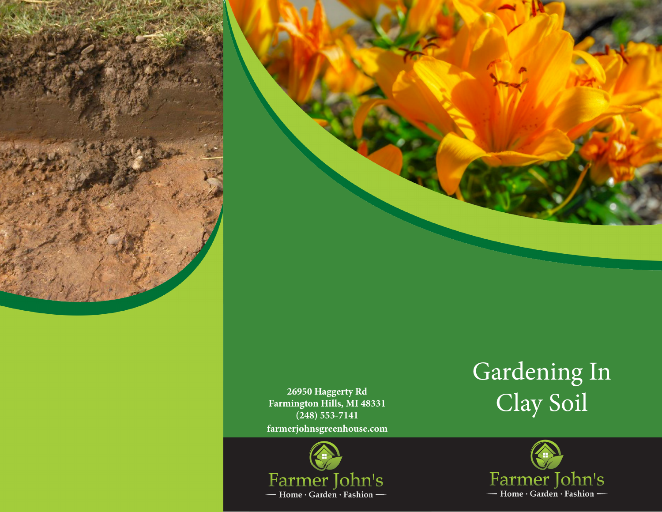



**farmerjohnsgreenhouse.com 26950 Haggerty Rd Farmington Hills, MI 48331 (248) 553-7141**



## Gardening In Clay Soil